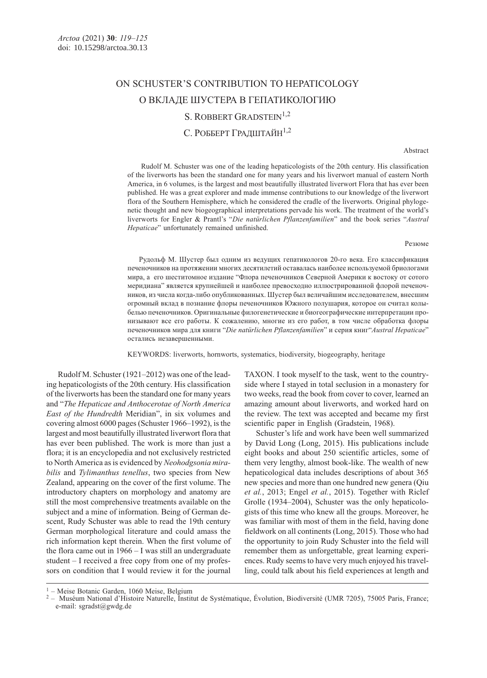# ON SCHUSTER'S CONTRIBUTION TO HEPATICOLOGY О ВКЛАДЕ ШУСТЕРА В ГЕПАТИКОЛОГИЮ S. ROBBERT GRADSTEIN<sup>1,2</sup>

## С. РОББЕРТ ГРАДШТАЙН1,2

### Abstract

 Rudolf M. Schuster was one of the leading hepaticologists of the 20th century. His classification of the liverworts has been the standard one for many years and his liverwort manual of eastern North America, in 6 volumes, is the largest and most beautifully illustrated liverwort Flora that has ever been published. He was a great explorer and made immense contributions to our knowledge of the liverwort flora of the Southern Hemisphere, which he considered the cradle of the liverworts. Original phylogenetic thought and new biogeographical interpretations pervade his work. The treatment of the world's liverworts for Engler & Prantl's "Die natürlichen Pflanzenfamilien" and the book series "Austral Hepaticae" unfortunately remained unfinished.

Резюме

Рудольф М. Шустер был одним из ведущих гепатикологов 20-го века. Его классификация печеночников на протяжении многих десятилетий оставалась наиболее используемой бриологами мира, а его шеститомное издание "Флора печеночников Северной Америки к востоку от сотого меридиана" является крупнейшей и наиболее превосходно иллюстрированной флорой печеночников, из числа когда-либо опубликованных. Шустер был величайшим исследователем, внесшим огромный вклад в познание флоры печеночников Южного полушария, которое он считал колыбелью печеночников. Оригинальные филогенетические и биогеографические интерпретации пронизывают все его работы. К сожалению, многие из его работ, в том числе обработка флоры печеночников мира для книги "Die natürlichen Pflanzenfamilien" и серия книг"Austral Hepaticae" остались незавершенными.

KEYWORDS: liverworts, hornworts, systematics, biodiversity, biogeography, heritage

Rudolf M. Schuster (1921–2012) was one of the leading hepaticologists of the 20th century. His classification of the liverworts has been the standard one for many years and "The Hepaticae and Anthocerotae of North America East of the Hundredth Meridian", in six volumes and covering almost 6000 pages (Schuster 1966–1992), is the largest and most beautifully illustrated liverwort flora that has ever been published. The work is more than just a flora; it is an encyclopedia and not exclusively restricted to North America as is evidenced by Neohodgsonia mirabilis and Tylimanthus tenellus, two species from New Zealand, appearing on the cover of the first volume. The introductory chapters on morphology and anatomy are still the most comprehensive treatments available on the subject and a mine of information. Being of German descent, Rudy Schuster was able to read the 19th century German morphological literature and could amass the rich information kept therein. When the first volume of the flora came out in 1966 – I was still an undergraduate student – I received a free copy from one of my professors on condition that I would review it for the journal

TAXON. I took myself to the task, went to the countryside where I stayed in total seclusion in a monastery for two weeks, read the book from cover to cover, learned an amazing amount about liverworts, and worked hard on the review. The text was accepted and became my first scientific paper in English (Gradstein, 1968).

Schuster's life and work have been well summarized by David Long (Long, 2015). His publications include eight books and about 250 scientific articles, some of them very lengthy, almost book-like. The wealth of new hepaticological data includes descriptions of about 365 new species and more than one hundred new genera (Qiu et al., 2013; Engel et al., 2015). Together with Riclef Grolle (1934–2004), Schuster was the only hepaticologists of this time who knew all the groups. Moreover, he was familiar with most of them in the field, having done fieldwork on all continents (Long, 2015). Those who had the opportunity to join Rudy Schuster into the field will remember them as unforgettable, great learning experiences. Rudy seems to have very much enjoyed his travelling, could talk about his field experiences at length and

 $<sup>1</sup>$  – Meise Botanic Garden, 1060 Meise, Belgium</sup>

<sup>&</sup>lt;sup>2</sup> – Muséum National d'Histoire Naturelle, Institut de Systématique, Évolution, Biodiversité (UMR 7205), 75005 Paris, France; e-mail: sgradst@gwdg.de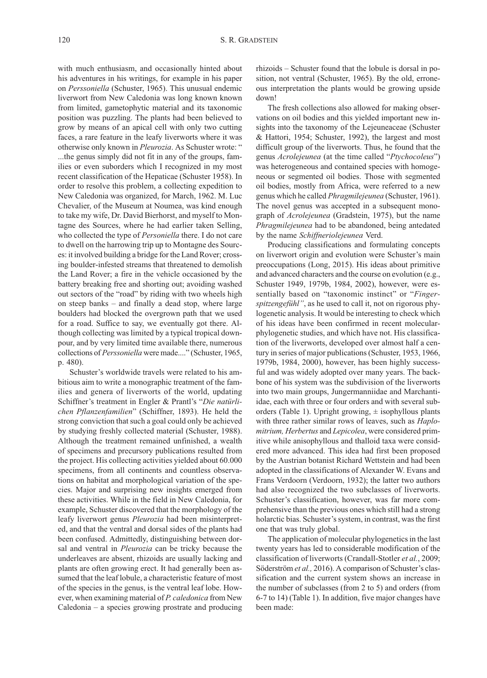with much enthusiasm, and occasionally hinted about his adventures in his writings, for example in his paper on Perssoniella (Schuster, 1965). This unusual endemic liverwort from New Caledonia was long known known from limited, gametophytic material and its taxonomic position was puzzling. The plants had been believed to grow by means of an apical cell with only two cutting faces, a rare feature in the leafy liverworts where it was otherwise only known in Pleurozia. As Schuster wrote: " ...the genus simply did not fit in any of the groups, families or even suborders which I recognized in my most recent classification of the Hepaticae (Schuster 1958). In order to resolve this problem, a collecting expedition to New Caledonia was organized, for March, 1962. M. Luc Chevalier, of the Museum at Noumea, was kind enough to take my wife, Dr. David Bierhorst, and myself to Montagne des Sources, where he had earlier taken Selling, who collected the type of Personiella there. I do not care to dwell on the harrowing trip up to Montagne des Sources: it involved building a bridge for the Land Rover; crossing boulder-infested streams that threatened to demolish the Land Rover; a fire in the vehicle occasioned by the battery breaking free and shorting out; avoiding washed out sectors of the "road" by riding with two wheels high on steep banks – and finally a dead stop, where large boulders had blocked the overgrown path that we used for a road. Suffice to say, we eventually got there. Although collecting was limited by a typical tropical downpour, and by very limited time available there, numerous collections of Perssoniella were made...." (Schuster, 1965, p. 480).

Schuster's worldwide travels were related to his ambitious aim to write a monographic treatment of the families and genera of liverworts of the world, updating Schiffner's treatment in Engler & Prantl's "Die natürlichen Pflanzenfamilien" (Schiffner, 1893). He held the strong conviction that such a goal could only be achieved by studying freshly collected material (Schuster, 1988). Although the treatment remained unfinished, a wealth of specimens and precursory publications resulted from the project. His collecting activities yielded about 60.000 specimens, from all continents and countless observations on habitat and morphological variation of the species. Major and surprising new insights emerged from these activities. While in the field in New Caledonia, for example, Schuster discovered that the morphology of the leafy liverwort genus Pleurozia had been misinterpreted, and that the ventral and dorsal sides of the plants had been confused. Admittedly, distinguishing between dorsal and ventral in Pleurozia can be tricky because the underleaves are absent, rhizoids are usually lacking and plants are often growing erect. It had generally been assumed that the leaf lobule, a characteristic feature of most of the species in the genus, is the ventral leaf lobe. However, when examining material of P. caledonica from New Caledonia – a species growing prostrate and producing

rhizoids – Schuster found that the lobule is dorsal in position, not ventral (Schuster, 1965). By the old, erroneous interpretation the plants would be growing upside down!

The fresh collections also allowed for making observations on oil bodies and this yielded important new insights into the taxonomy of the Lejeuneaceae (Schuster & Hattori, 1954; Schuster, 1992), the largest and most difficult group of the liverworts. Thus, he found that the genus Acrolejeunea (at the time called "Ptychocoleus") was heterogeneous and contained species with homogeneous or segmented oil bodies. Those with segmented oil bodies, mostly from Africa, were referred to a new genus which he called Phragmilejeunea (Schuster, 1961). The novel genus was accepted in a subsequent monograph of Acrolejeunea (Gradstein, 1975), but the name Phragmilejeunea had to be abandoned, being antedated by the name Schiffneriolejeunea Verd.

Producing classifications and formulating concepts on liverwort origin and evolution were Schuster's main preoccupations (Long, 2015). His ideas about primitive and advanced characters and the course on evolution (e.g., Schuster 1949, 1979b, 1984, 2002), however, were essentially based on "taxonomic instinct" or "Fingerspitzengefühl", as he used to call it, not on rigorous phylogenetic analysis. It would be interesting to check which of his ideas have been confirmed in recent molecularphylogenetic studies, and which have not. His classification of the liverworts, developed over almost half a century in series of major publications (Schuster, 1953, 1966, 1979b, 1984, 2000), however, has been highly successful and was widely adopted over many years. The backbone of his system was the subdivision of the liverworts into two main groups, Jungermanniidae and Marchantiidae, each with three or four orders and with several suborders (Table 1). Upright growing,  $\pm$  isophyllous plants with three rather similar rows of leaves, such as *Haplo*mitrium, Herbertus and Lepicolea, were considered primitive while anisophyllous and thalloid taxa were considered more advanced. This idea had first been proposed by the Austrian botanist Richard Wettstein and had been adopted in the classifications of Alexander W. Evans and Frans Verdoorn (Verdoorn, 1932); the latter two authors had also recognized the two subclasses of liverworts. Schuster's classification, however, was far more comprehensive than the previous ones which still had a strong holarctic bias. Schuster's system, in contrast, was the first one that was truly global.

The application of molecular phylogenetics in the last twenty years has led to considerable modification of the classification of liverworts (Crandall-Stotler et al., 2009; Söderström et al., 2016). A comparison of Schuster's classification and the current system shows an increase in the number of subclasses (from 2 to 5) and orders (from 6-7 to 14) (Table 1). In addition, five major changes have been made: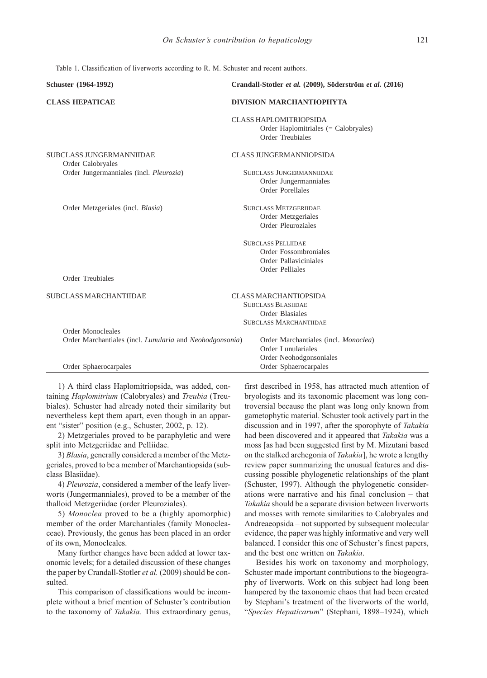Table 1. Classification of liverworts according to R. M. Schuster and recent authors.

| Schuster (1964-1992)                                     | Crandall-Stotler et al. (2009), Söderström et al. (2016) |
|----------------------------------------------------------|----------------------------------------------------------|
| <b>CLASS HEPATICAE</b>                                   | <b>DIVISION MARCHANTIOPHYTA</b>                          |
|                                                          | <b>CLASS HAPLOMITRIOPSIDA</b>                            |
|                                                          | Order Haplomitriales (= Calobryales)                     |
|                                                          | Order Treubiales                                         |
| SUBCLASS JUNGERMANNIIDAE                                 | <b>CLASS JUNGERMANNIOPSIDA</b>                           |
| Order Calobryales                                        |                                                          |
| Order Jungermanniales (incl. Pleurozia)                  | SUBCLASS JUNGERMANNIIDAE                                 |
|                                                          | Order Jungermanniales                                    |
|                                                          | Order Porellales                                         |
| Order Metzgeriales (incl. Blasia)                        | <b>SUBCLASS METZGERIIDAE</b>                             |
|                                                          | Order Metzgeriales                                       |
|                                                          | Order Pleuroziales                                       |
|                                                          | <b>SUBCLASS PELLIIDAE</b>                                |
|                                                          | Order Fossombroniales                                    |
|                                                          | Order Pallaviciniales                                    |
|                                                          | Order Pelliales                                          |
| Order Treubiales                                         |                                                          |
| <b>SUBCLASS MARCHANTIIDAE</b>                            | <b>CLASS MARCHANTIOPSIDA</b>                             |
|                                                          | <b>SUBCLASS BLASIIDAE</b>                                |
|                                                          | Order Blasiales                                          |
|                                                          | <b>SUBCLASS MARCHANTIIDAE</b>                            |
| Order Monocleales                                        |                                                          |
| Order Marchantiales (incl. Lunularia and Neohodgonsonia) | Order Marchantiales (incl. Monoclea)                     |
|                                                          | Order Lunulariales                                       |
|                                                          | Order Neohodgonsoniales                                  |
| Order Sphaerocarpales                                    | Order Sphaerocarpales                                    |

1) A third class Haplomitriopsida, was added, containing Haplomitrium (Calobryales) and Treubia (Treubiales). Schuster had already noted their similarity but nevertheless kept them apart, even though in an apparent "sister" position (e.g., Schuster, 2002, p. 12).

2) Metzgeriales proved to be paraphyletic and were split into Metzgeriidae and Pelliidae.

3) Blasia, generally considered a member of the Metzgeriales, proved to be a member of Marchantiopsida (subclass Blasiidae).

4) Pleurozia, considered a member of the leafy liverworts (Jungermanniales), proved to be a member of the thalloid Metzgeriidae (order Pleuroziales).

5) Monoclea proved to be a (highly apomorphic) member of the order Marchantiales (family Monocleaceae). Previously, the genus has been placed in an order of its own, Monocleales.

Many further changes have been added at lower taxonomic levels; for a detailed discussion of these changes the paper by Crandall-Stotler et al. (2009) should be consulted.

This comparison of classifications would be incomplete without a brief mention of Schuster's contribution to the taxonomy of Takakia. This extraordinary genus,

first described in 1958, has attracted much attention of bryologists and its taxonomic placement was long controversial because the plant was long only known from gametophytic material. Schuster took actively part in the discussion and in 1997, after the sporophyte of Takakia had been discovered and it appeared that Takakia was a moss [as had been suggested first by M. Mizutani based on the stalked archegonia of Takakia], he wrote a lengthy review paper summarizing the unusual features and discussing possible phylogenetic relationships of the plant (Schuster, 1997). Although the phylogenetic considerations were narrative and his final conclusion – that Takakia should be a separate division between liverworts and mosses with remote similarities to Calobryales and Andreaeopsida – not supported by subsequent molecular evidence, the paper was highly informative and very well balanced. I consider this one of Schuster's finest papers, and the best one written on Takakia.

Besides his work on taxonomy and morphology, Schuster made important contributions to the biogeography of liverworts. Work on this subject had long been hampered by the taxonomic chaos that had been created by Stephani's treatment of the liverworts of the world, "Species Hepaticarum" (Stephani, 1898–1924), which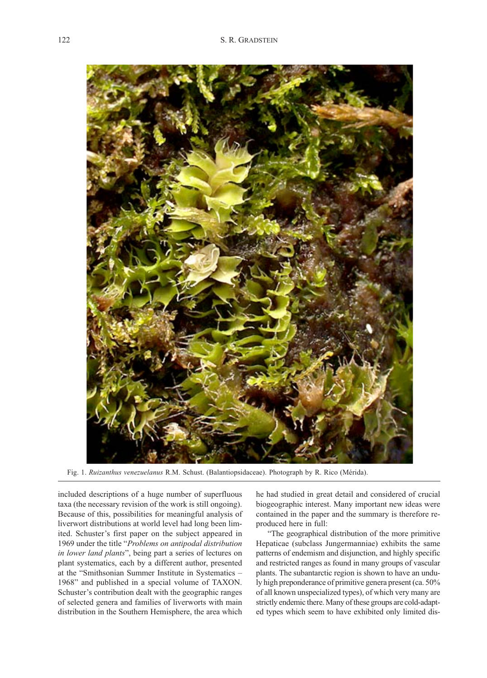

Fig. 1. Ruizanthus venezuelanus R.M. Schust. (Balantiopsidaceae). Photograph by R. Rico (Mérida).

included descriptions of a huge number of superfluous taxa (the necessary revision of the work is still ongoing). Because of this, possibilities for meaningful analysis of liverwort distributions at world level had long been limited. Schuster's first paper on the subject appeared in 1969 under the title "Problems on antipodal distribution in lower land plants", being part a series of lectures on plant systematics, each by a different author, presented at the "Smithsonian Summer Institute in Systematics – 1968" and published in a special volume of TAXON. Schuster's contribution dealt with the geographic ranges of selected genera and families of liverworts with main distribution in the Southern Hemisphere, the area which he had studied in great detail and considered of crucial biogeographic interest. Many important new ideas were contained in the paper and the summary is therefore reproduced here in full:

"The geographical distribution of the more primitive Hepaticae (subclass Jungermanniae) exhibits the same patterns of endemism and disjunction, and highly specific and restricted ranges as found in many groups of vascular plants. The subantarctic region is shown to have an unduly high preponderance of primitive genera present (ca. 50% of all known unspecialized types), of which very many are strictly endemic there. Many of these groups are cold-adapted types which seem to have exhibited only limited dis-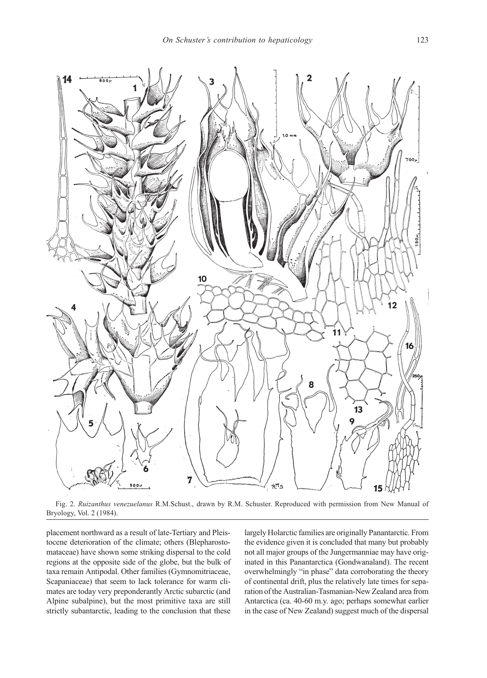

Fig. 2. Ruizanthus venezuelanus R.M.Schust., drawn by R.M. Schuster. Reproduced with permission from New Manual of Bryology, Vol. 2 (1984).

placement northward as a result of late-Tertiary and Pleistocene deterioration of the climate; others (Blepharostomataceae) have shown some striking dispersal to the cold regions at the opposite side of the globe, but the bulk of taxa remain Antipodal. Other families (Gymnomitriaceae, Scapaniaceae) that seem to lack tolerance for warm climates are today very preponderantly Arctic subarctic (and Alpine subalpine), but the most primitive taxa are still strictly subantarctic, leading to the conclusion that these

largely Holarctic families are originally Panantarctic. From the evidence given it is concluded that many but probably not all major groups of the Jungermanniae may have originated in this Panantarctica (Gondwanaland). The recent overwhelmingly "in phase" data corroborating the theory of continental drift, plus the relatively late times for separation of the Australian-Tasmanian-New Zealand area from Antarctica (ca. 40-60 m.y. ago; perhaps somewhat earlier in the case of New Zealand) suggest much of the dispersal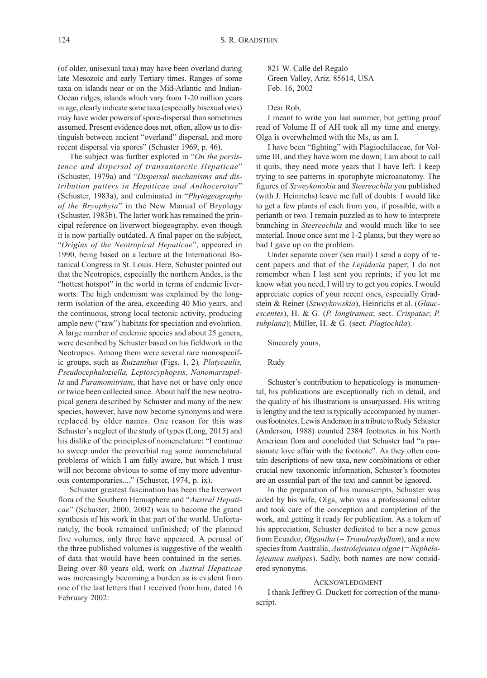(of older, unisexual taxa) may have been overland during late Mesozoic and early Tertiary times. Ranges of some taxa on islands near or on the Mid-Atlantic and Indian-Ocean ridges, islands which vary from 1-20 million years in age, clearly indicate some taxa (especially bisexual ones) may have wider powers of spore-dispersal than sometimes assumed. Present evidence does not, often, allow us to distinguish between ancient "overland" dispersal, and more recent dispersal via spores" (Schuster 1969, p. 46).

The subject was further explored in "On the persistence and dispersal of transantarctic Hepaticae" (Schuster, 1979a) and "Dispersal mechanisms and distribution patters in Hepaticae and Anthocerotae" (Schuster, 1983a), and culminated in "Phytogeography of the Bryophyta" in the New Manual of Bryology (Schuster, 1983b). The latter work has remained the principal reference on liverwort biogeography, even though it is now partially outdated. A final paper on the subject, "Origins of the Neotropical Hepaticae", appeared in 1990, being based on a lecture at the International Botanical Congress in St. Louis. Here, Schuster pointed out that the Neotropics, especially the northern Andes, is the "hottest hotspot" in the world in terms of endemic liverworts. The high endemism was explained by the longterm isolation of the area, exceeding 40 Mio years, and the continuous, strong local tectonic activity, producing ample new ("raw") habitats for speciation and evolution. A large number of endemic species and about 25 genera, were described by Schuster based on his fieldwork in the Neotropics. Among them were several rare monospecific groups, such as Ruizanthus (Figs. 1, 2), Platycaulis, Pseudocephaloziella, Leptoscyphopsis, Nanomarsupella and Paramomitrium, that have not or have only once or twice been collected since. About half the new neotropical genera described by Schuster and many of the new species, however, have now become synonyms and were replaced by older names. One reason for this was Schuster's neglect of the study of types (Long, 2015) and his dislike of the principles of nomenclature: "I continue to sweep under the proverbial rug some nomenclatural problems of which I am fully aware, but which I trust will not become obvious to some of my more adventurous contemporaries...." (Schuster, 1974, p. ix).

Schuster greatest fascination has been the liverwort flora of the Southern Hemisphere and "Austral Hepaticae" (Schuster, 2000, 2002) was to become the grand synthesis of his work in that part of the world. Unfortunately, the book remained unfinished; of the planned five volumes, only three have appeared. A perusal of the three published volumes is suggestive of the wealth of data that would have been contained in the series. Being over 80 years old, work on Austral Hepaticae was increasingly becoming a burden as is evident from one of the last letters that I received from him, dated 16 February 2002:

821 W. Calle del Regalo Green Valley, Ariz. 85614, USA Feb. 16, 2002

## Dear Rob,

I meant to write you last summer, but getting proof read of Volume II of AH took all my time and energy. Olga is overwhelmed with the Ms, as am I.

I have been "fighting" with Plagiochilaceae, for Volume III, and they have worn me down; I am about to call it quits, they need more years that I have left. I keep trying to see patterns in sporophyte microanatomy. The figures of Szweykowskia and Steereochila you published (with J. Heinrichs) leave me full of doubts. I would like to get a few plants of each from you, if possible, with a perianth or two. I remain puzzled as to how to interprete branching in Steereochila and would much like to see material. Inoue once sent me 1-2 plants, but they were so bad I gave up on the problem.

Under separate cover (sea mail) I send a copy of recent papers and that of the Lepidozia paper; I do not remember when I last sent you reprints; if you let me know what you need, I will try to get you copies. I would appreciate copies of your recent ones, especially Gradstein & Reiner (Szweykowskia), Heinrichs et al. (Glaucescentes), H. & G. (P. longiramea; sect. Crispatae; P. subplana); Müller, H. & G. (sect. Plagiochila).

## Sincerely yours,

#### Rudy

Schuster's contribution to hepaticology is monumental, his publications are exceptionally rich in detail, and the quality of his illustrations is unsurpassed. His writing is lengthy and the text is typically accompanied by numerous footnotes. Lewis Anderson in a tribute to Rudy Schuster (Anderson, 1988) counted 2384 footnotes in his North American flora and concluded that Schuster had "a passionate love affair with the footnote". As they often contain descriptions of new taxa, new combinations or other crucial new taxonomic information, Schuster's footnotes are an essential part of the text and cannot be ignored.

In the preparation of his manuscripts, Schuster was aided by his wife, Olga, who was a professional editor and took care of the conception and completion of the work, and getting it ready for publication. As a token of his appreciation, Schuster dedicated to her a new genus from Ecuador, *Olgantha* (= *Triandrophyllum*), and a new species from Australia, Austrolejeunea olgae (= Nephelolejeunea nudipes). Sadly, both names are now considered synonyms.

### ACKNOWLEDGMENT

I thank Jeffrey G. Duckett for correction of the manuscript.